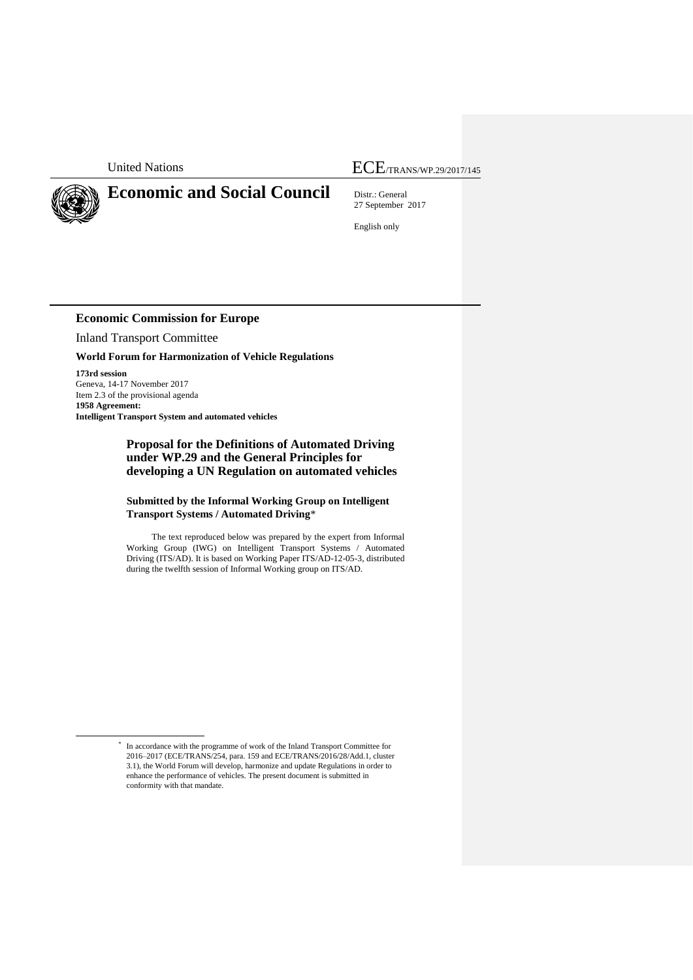

1

\*

# **Economic and Social Council** Distr.: General

United Nations **ECE**/TRANS/WP.29/2017/145

27 September 2017

English only

## **Economic Commission for Europe**

Inland Transport Committee

### **World Forum for Harmonization of Vehicle Regulations**

**173rd session** Geneva, 14-17 November 2017 Item 2.3 of the provisional agenda **1958 Agreement: Intelligent Transport System and automated vehicles**

## **Proposal for the Definitions of Automated Driving under WP.29 and the General Principles for developing a UN Regulation on automated vehicles**

## **Submitted by the Informal Working Group on Intelligent Transport Systems / Automated Driving**\*

The text reproduced below was prepared by the expert from Informal Working Group (IWG) on Intelligent Transport Systems / Automated Driving (ITS/AD). It is based on Working Paper ITS/AD-12-05-3, distributed during the twelfth session of Informal Working group on ITS/AD.

In accordance with the programme of work of the Inland Transport Committee for 2016–2017 (ECE/TRANS/254, para. 159 and ECE/TRANS/2016/28/Add.1, cluster 3.1), the World Forum will develop, harmonize and update Regulations in order to enhance the performance of vehicles. The present document is submitted in conformity with that mandate.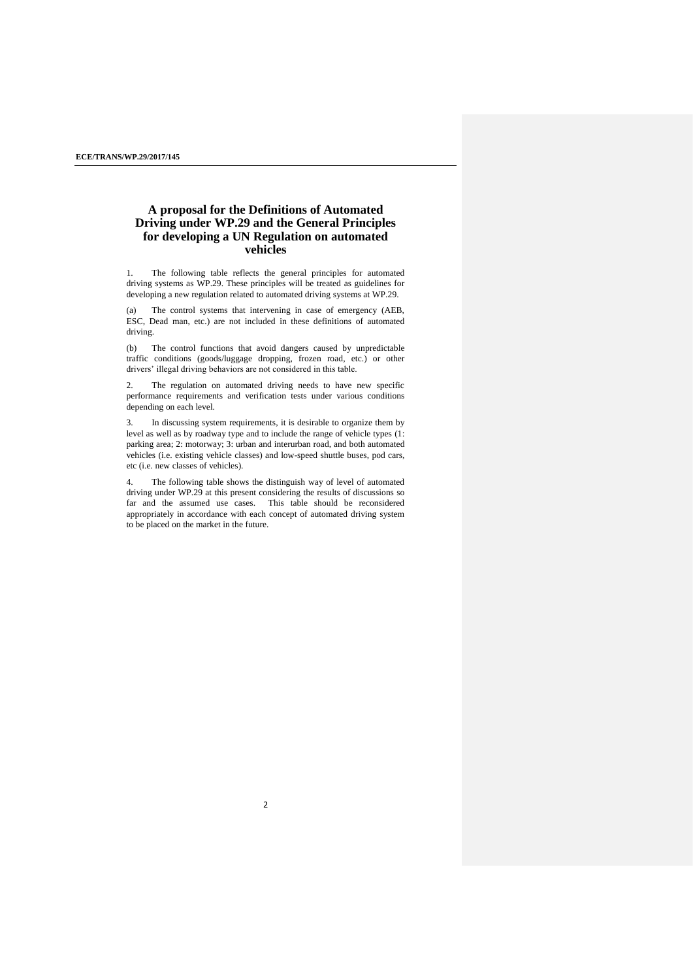## **A proposal for the Definitions of Automated Driving under WP.29 and the General Principles for developing a UN Regulation on automated vehicles**

1. The following table reflects the general principles for automated driving systems as WP.29. These principles will be treated as guidelines for developing a new regulation related to automated driving systems at WP.29.

(a) The control systems that intervening in case of emergency (AEB, ESC, Dead man, etc.) are not included in these definitions of automated driving.

(b) The control functions that avoid dangers caused by unpredictable traffic conditions (goods/luggage dropping, frozen road, etc.) or other drivers' illegal driving behaviors are not considered in this table.

2. The regulation on automated driving needs to have new specific performance requirements and verification tests under various conditions depending on each level.

3. In discussing system requirements, it is desirable to organize them by level as well as by roadway type and to include the range of vehicle types (1: parking area; 2: motorway; 3: urban and interurban road, and both automated vehicles (i.e. existing vehicle classes) and low-speed shuttle buses, pod cars, etc (i.e. new classes of vehicles).

4. The following table shows the distinguish way of level of automated driving under WP.29 at this present considering the results of discussions so far and the assumed use cases. This table should be reconsidered appropriately in accordance with each concept of automated driving system to be placed on the market in the future.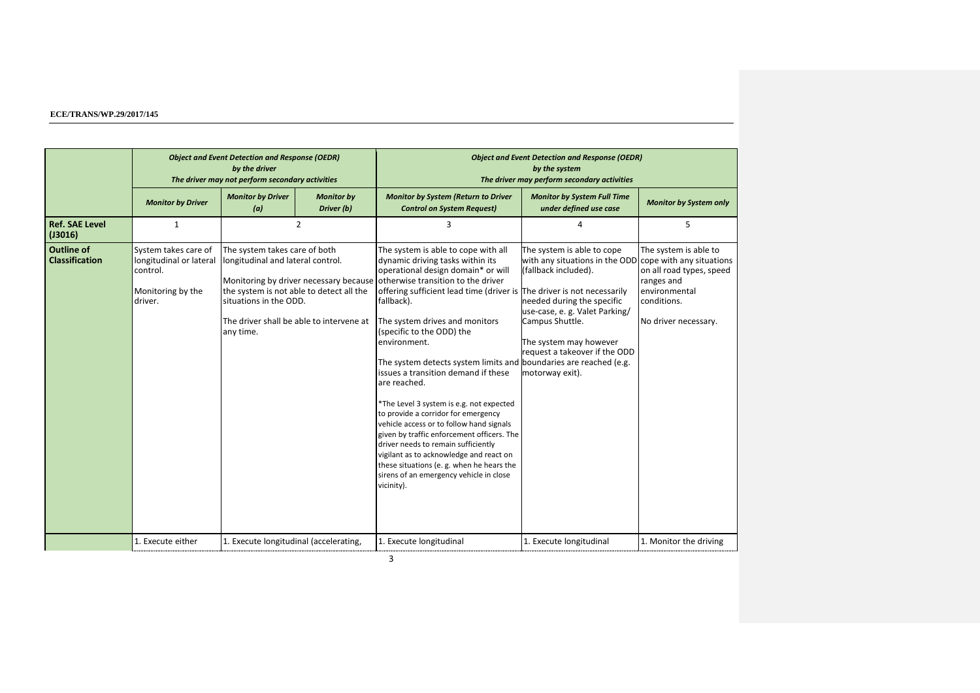|                                            | <b>Object and Event Detection and Response (OEDR)</b><br>by the driver<br>The driver may not perform secondary activities |                                                                                                           |                                                                                      | <b>Object and Event Detection and Response (OEDR)</b><br>by the system<br>The driver may perform secondary activities                                                                                                                                                                                                                                                                                                                                                                                                                                                                                                                                                                                                                                                                                                                                              |                                                                                                                                                                                                                                                                                |                                                                                                                         |  |
|--------------------------------------------|---------------------------------------------------------------------------------------------------------------------------|-----------------------------------------------------------------------------------------------------------|--------------------------------------------------------------------------------------|--------------------------------------------------------------------------------------------------------------------------------------------------------------------------------------------------------------------------------------------------------------------------------------------------------------------------------------------------------------------------------------------------------------------------------------------------------------------------------------------------------------------------------------------------------------------------------------------------------------------------------------------------------------------------------------------------------------------------------------------------------------------------------------------------------------------------------------------------------------------|--------------------------------------------------------------------------------------------------------------------------------------------------------------------------------------------------------------------------------------------------------------------------------|-------------------------------------------------------------------------------------------------------------------------|--|
|                                            | <b>Monitor by Driver</b>                                                                                                  | <b>Monitor by Driver</b><br>(a)                                                                           | <b>Monitor by</b><br>Driver (b)                                                      | <b>Monitor by System (Return to Driver</b><br><b>Control on System Request)</b>                                                                                                                                                                                                                                                                                                                                                                                                                                                                                                                                                                                                                                                                                                                                                                                    | <b>Monitor by System Full Time</b><br>under defined use case                                                                                                                                                                                                                   | <b>Monitor by System only</b>                                                                                           |  |
| <b>Ref. SAE Level</b><br>(J3016)           | $\mathbf{1}$                                                                                                              |                                                                                                           | 2                                                                                    | 3                                                                                                                                                                                                                                                                                                                                                                                                                                                                                                                                                                                                                                                                                                                                                                                                                                                                  | 4                                                                                                                                                                                                                                                                              | 5                                                                                                                       |  |
| <b>Outline of</b><br><b>Classification</b> | System takes care of<br>longitudinal or lateral<br>control.<br>Monitoring by the<br>driver.                               | The system takes care of both<br>longitudinal and lateral control.<br>situations in the ODD.<br>any time. | the system is not able to detect all the<br>The driver shall be able to intervene at | The system is able to cope with all<br>dynamic driving tasks within its<br>operational design domain* or will<br>Monitoring by driver necessary because otherwise transition to the driver<br>offering sufficient lead time (driver is The driver is not necessarily<br>fallback).<br>The system drives and monitors<br>(specific to the ODD) the<br>environment.<br>The system detects system limits and boundaries are reached (e.g.<br>issues a transition demand if these<br>are reached.<br>*The Level 3 system is e.g. not expected<br>to provide a corridor for emergency<br>vehicle access or to follow hand signals<br>given by traffic enforcement officers. The<br>driver needs to remain sufficiently<br>vigilant as to acknowledge and react on<br>these situations (e. g. when he hears the<br>sirens of an emergency vehicle in close<br>vicinity). | The system is able to cope<br>with any situations in the ODD cope with any situations<br>(fallback included).<br>needed during the specific<br>use-case, e. g. Valet Parking/<br>Campus Shuttle.<br>The system may however<br>request a takeover if the ODD<br>motorway exit). | The system is able to<br>on all road types, speed<br>ranges and<br>environmental<br>conditions.<br>No driver necessary. |  |
|                                            | 1. Execute either                                                                                                         | 1. Execute longitudinal (accelerating,                                                                    |                                                                                      | 1. Execute longitudinal                                                                                                                                                                                                                                                                                                                                                                                                                                                                                                                                                                                                                                                                                                                                                                                                                                            | 1. Execute longitudinal                                                                                                                                                                                                                                                        | 1. Monitor the driving                                                                                                  |  |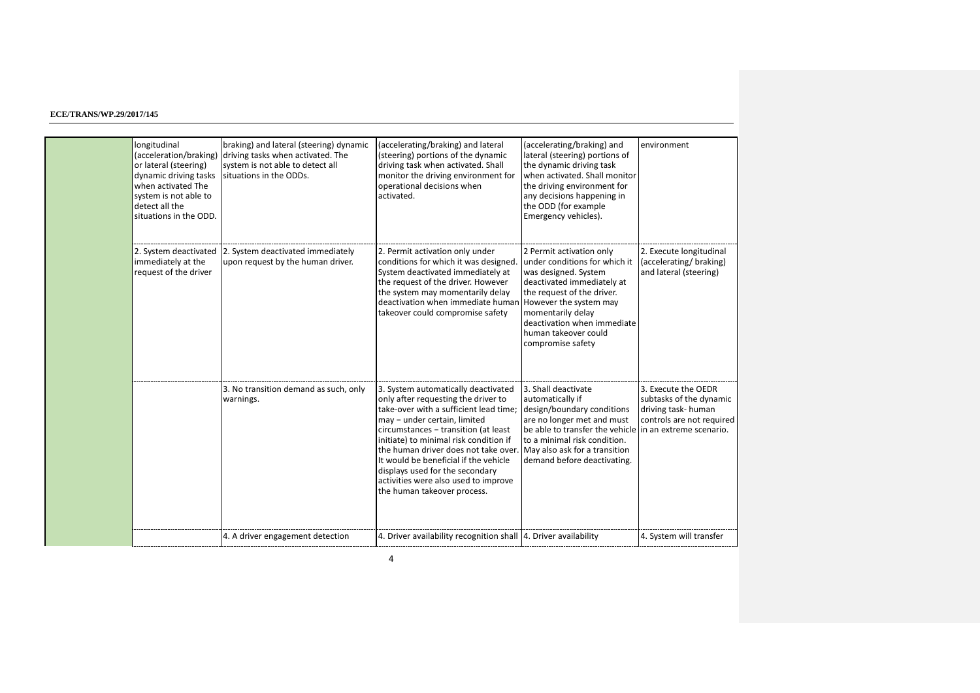| longitudinal<br>(acceleration/braking)<br>or lateral (steering)<br>dynamic driving tasks<br>when activated The<br>system is not able to<br>detect all the<br>situations in the ODD. | braking) and lateral (steering) dynamic<br>driving tasks when activated. The<br>system is not able to detect all<br>situations in the ODDs. | (accelerating/braking) and lateral<br>(steering) portions of the dynamic<br>driving task when activated. Shall<br>monitor the driving environment for<br>operational decisions when<br>activated.                                                                                                                                                                                                                                                               | (accelerating/braking) and<br>lateral (steering) portions of<br>the dynamic driving task<br>when activated. Shall monitor<br>the driving environment for<br>any decisions happening in<br>the ODD (for example<br>Emergency vehicles).         | environment                                                                                       |
|-------------------------------------------------------------------------------------------------------------------------------------------------------------------------------------|---------------------------------------------------------------------------------------------------------------------------------------------|-----------------------------------------------------------------------------------------------------------------------------------------------------------------------------------------------------------------------------------------------------------------------------------------------------------------------------------------------------------------------------------------------------------------------------------------------------------------|------------------------------------------------------------------------------------------------------------------------------------------------------------------------------------------------------------------------------------------------|---------------------------------------------------------------------------------------------------|
| 2. System deactivated<br>immediately at the<br>request of the driver                                                                                                                | 2. System deactivated immediately<br>upon request by the human driver.                                                                      | 2. Permit activation only under<br>conditions for which it was designed<br>System deactivated immediately at<br>the request of the driver. However<br>the system may momentarily delay<br>deactivation when immediate human However the system may<br>takeover could compromise safety                                                                                                                                                                          | 2 Permit activation only<br>under conditions for which it<br>was designed. System<br>deactivated immediately at<br>the request of the driver.<br>momentarily delay<br>deactivation when immediate<br>human takeover could<br>compromise safety | 2. Execute longitudinal<br>(accelerating/braking)<br>and lateral (steering)                       |
|                                                                                                                                                                                     | 3. No transition demand as such, only<br>warnings.                                                                                          | 3. System automatically deactivated<br>only after requesting the driver to<br>take-over with a sufficient lead time;<br>may - under certain, limited<br>circumstances - transition (at least<br>initiate) to minimal risk condition if<br>the human driver does not take over. May also ask for a transition<br>It would be beneficial if the vehicle<br>displays used for the secondary<br>activities were also used to improve<br>the human takeover process. | 3. Shall deactivate<br>automatically if<br>design/boundary conditions<br>are no longer met and must<br>be able to transfer the vehicle in an extreme scenario.<br>to a minimal risk condition.<br>demand before deactivating.                  | 3. Execute the OEDR<br>subtasks of the dynamic<br>driving task-human<br>controls are not required |
|                                                                                                                                                                                     | 4. A driver engagement detection                                                                                                            | 4. Driver availability recognition shall 4. Driver availability                                                                                                                                                                                                                                                                                                                                                                                                 |                                                                                                                                                                                                                                                | 4. System will transfer                                                                           |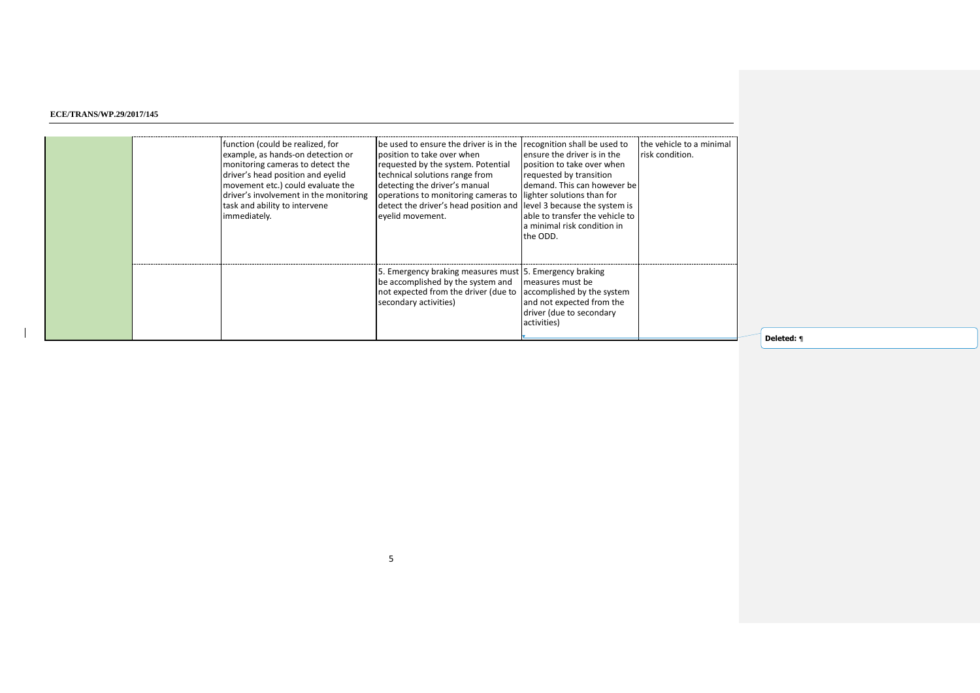|  | function (could be realized, for<br>example, as hands-on detection or<br>monitoring cameras to detect the<br>driver's head position and eyelid<br>movement etc.) could evaluate the<br>driver's involvement in the monitoring<br>task and ability to intervene<br>immediately. | be used to ensure the driver is in the recognition shall be used to<br>position to take over when<br>requested by the system. Potential<br>technical solutions range from<br>detecting the driver's manual<br>operations to monitoring cameras to lighter solutions than for<br>detect the driver's head position and level 3 because the system is<br>evelid movement. | ensure the driver is in the<br>position to take over when<br>requested by transition<br>demand. This can however be<br>able to transfer the vehicle to<br>a minimal risk condition in<br>the ODD. | the vehicle to a minimal<br>risk condition. |
|--|--------------------------------------------------------------------------------------------------------------------------------------------------------------------------------------------------------------------------------------------------------------------------------|-------------------------------------------------------------------------------------------------------------------------------------------------------------------------------------------------------------------------------------------------------------------------------------------------------------------------------------------------------------------------|---------------------------------------------------------------------------------------------------------------------------------------------------------------------------------------------------|---------------------------------------------|
|  |                                                                                                                                                                                                                                                                                | 5. Emergency braking measures must 5. Emergency braking<br>be accomplished by the system and measures must be<br>not expected from the driver (due to<br>secondary activities)                                                                                                                                                                                          | accomplished by the system<br>and not expected from the<br>driver (due to secondary<br>activities)                                                                                                |                                             |

**Deleted:** ¶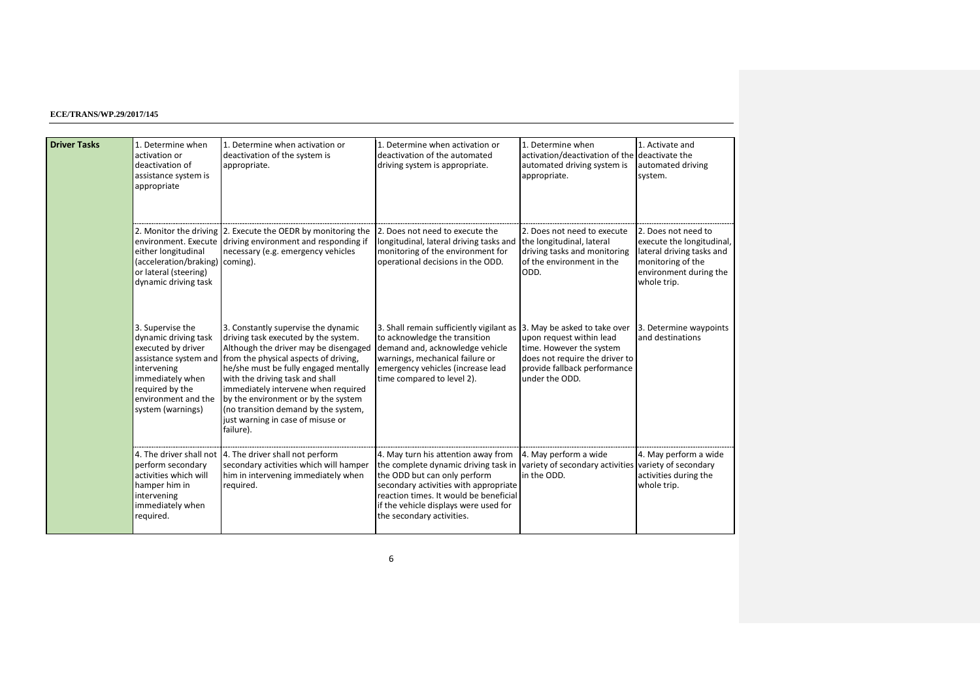| <b>Driver Tasks</b> | 1. Determine when<br>activation or<br>deactivation of<br>assistance system is<br>appropriate                                                                     | 1. Determine when activation or<br>deactivation of the system is<br>appropriate.                                                                                                                                                                                                                                                                                                                                                        | 1. Determine when activation or<br>deactivation of the automated<br>driving system is appropriate.                                                                                                                                                                   | 1. Determine when<br>activation/deactivation of the deactivate the<br>automated driving system is<br>appropriate.                                                        | 1. Activate and<br>automated driving<br>system.                                                                                             |
|---------------------|------------------------------------------------------------------------------------------------------------------------------------------------------------------|-----------------------------------------------------------------------------------------------------------------------------------------------------------------------------------------------------------------------------------------------------------------------------------------------------------------------------------------------------------------------------------------------------------------------------------------|----------------------------------------------------------------------------------------------------------------------------------------------------------------------------------------------------------------------------------------------------------------------|--------------------------------------------------------------------------------------------------------------------------------------------------------------------------|---------------------------------------------------------------------------------------------------------------------------------------------|
|                     | either longitudinal<br>(acceleration/braking)<br>or lateral (steering)<br>dynamic driving task                                                                   | 2. Monitor the driving 2. Execute the OEDR by monitoring the<br>environment. Execute driving environment and responding if<br>necessary (e.g. emergency vehicles<br>coming).                                                                                                                                                                                                                                                            | 2. Does not need to execute the<br>longitudinal, lateral driving tasks and<br>monitoring of the environment for<br>operational decisions in the ODD.                                                                                                                 | 2. Does not need to execute<br>the longitudinal, lateral<br>driving tasks and monitoring<br>of the environment in the<br>ODD.                                            | 2. Does not need to<br>execute the longitudinal,<br>lateral driving tasks and<br>monitoring of the<br>environment during the<br>whole trip. |
|                     | 3. Supervise the<br>dynamic driving task<br>executed by driver<br>intervening<br>immediately when<br>required by the<br>environment and the<br>system (warnings) | 3. Constantly supervise the dynamic<br>driving task executed by the system.<br>Although the driver may be disengaged<br>assistance system and from the physical aspects of driving,<br>he/she must be fully engaged mentally<br>with the driving task and shall<br>immediately intervene when required<br>by the environment or by the system<br>(no transition demand by the system,<br>just warning in case of misuse or<br>failure). | 3. Shall remain sufficiently vigilant as<br>to acknowledge the transition<br>demand and, acknowledge vehicle<br>warnings, mechanical failure or<br>emergency vehicles (increase lead<br>time compared to level 2).                                                   | 3. May be asked to take over<br>upon request within lead<br>time. However the system<br>does not require the driver to<br>provide fallback performance<br>under the ODD. | 3. Determine waypoints<br>and destinations                                                                                                  |
|                     | perform secondary<br>activities which will<br>hamper him in<br>intervening<br>immediately when<br>reguired.                                                      | 4. The driver shall not 4. The driver shall not perform<br>secondary activities which will hamper<br>him in intervening immediately when<br>required.                                                                                                                                                                                                                                                                                   | 4. May turn his attention away from<br>the complete dynamic driving task in<br>the ODD but can only perform<br>secondary activities with appropriate<br>reaction times. It would be beneficial<br>if the vehicle displays were used for<br>the secondary activities. | 4. May perform a wide<br>variety of secondary activities variety of secondary<br>in the ODD.                                                                             | 4. May perform a wide<br>activities during the<br>whole trip.                                                                               |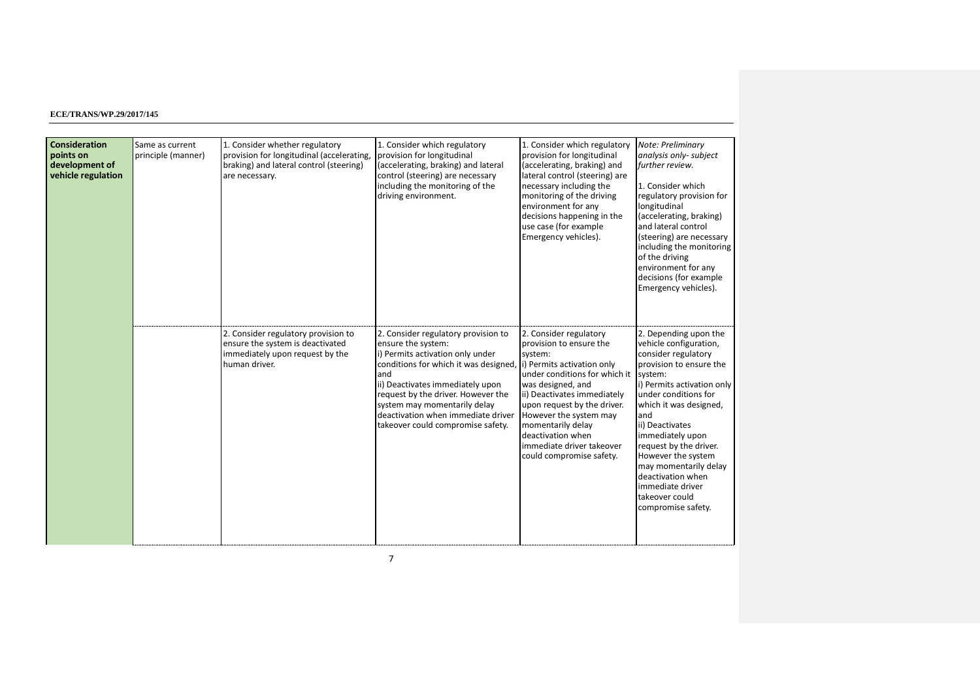| <b>Consideration</b><br>points on<br>development of<br>vehicle regulation | Same as current<br>principle (manner) | 1. Consider whether regulatory<br>provision for longitudinal (accelerating,<br>braking) and lateral control (steering)<br>are necessary. | 1. Consider which regulatory<br>provision for longitudinal<br>(accelerating, braking) and lateral<br>control (steering) are necessary<br>including the monitoring of the<br>driving environment.                                                                                                                                   | 1. Consider which regulatory<br>provision for longitudinal<br>(accelerating, braking) and<br>lateral control (steering) are<br>necessary including the<br>monitoring of the driving<br>environment for any<br>decisions happening in the<br>use case (for example<br>Emergency vehicles).                                                   | Note: Preliminary<br>analysis only-subject<br>further review.<br>1. Consider which<br>regulatory provision for<br>longitudinal<br>(accelerating, braking)<br>and lateral control<br>(steering) are necessary<br>including the monitoring<br>of the driving<br>environment for any<br>decisions (for example<br>Emergency vehicles).                                                                  |
|---------------------------------------------------------------------------|---------------------------------------|------------------------------------------------------------------------------------------------------------------------------------------|------------------------------------------------------------------------------------------------------------------------------------------------------------------------------------------------------------------------------------------------------------------------------------------------------------------------------------|---------------------------------------------------------------------------------------------------------------------------------------------------------------------------------------------------------------------------------------------------------------------------------------------------------------------------------------------|------------------------------------------------------------------------------------------------------------------------------------------------------------------------------------------------------------------------------------------------------------------------------------------------------------------------------------------------------------------------------------------------------|
|                                                                           |                                       | 2. Consider regulatory provision to<br>ensure the system is deactivated<br>immediately upon request by the<br>human driver.              | 2. Consider regulatory provision to<br>ensure the system:<br>i) Permits activation only under<br>conditions for which it was designed,<br>and<br>ii) Deactivates immediately upon<br>request by the driver. However the<br>system may momentarily delay<br>deactivation when immediate driver<br>takeover could compromise safety. | 2. Consider regulatory<br>provision to ensure the<br>system:<br>i) Permits activation only<br>under conditions for which it<br>was designed, and<br>ii) Deactivates immediately<br>upon request by the driver.<br>However the system may<br>momentarily delay<br>deactivation when<br>immediate driver takeover<br>could compromise safety. | 2. Depending upon the<br>vehicle configuration,<br>consider regulatory<br>provision to ensure the<br>system:<br>i) Permits activation only<br>under conditions for<br>which it was designed,<br>and<br>ii) Deactivates<br>immediately upon<br>request by the driver.<br>However the system<br>may momentarily delay<br>deactivation when<br>immediate driver<br>takeover could<br>compromise safety. |

7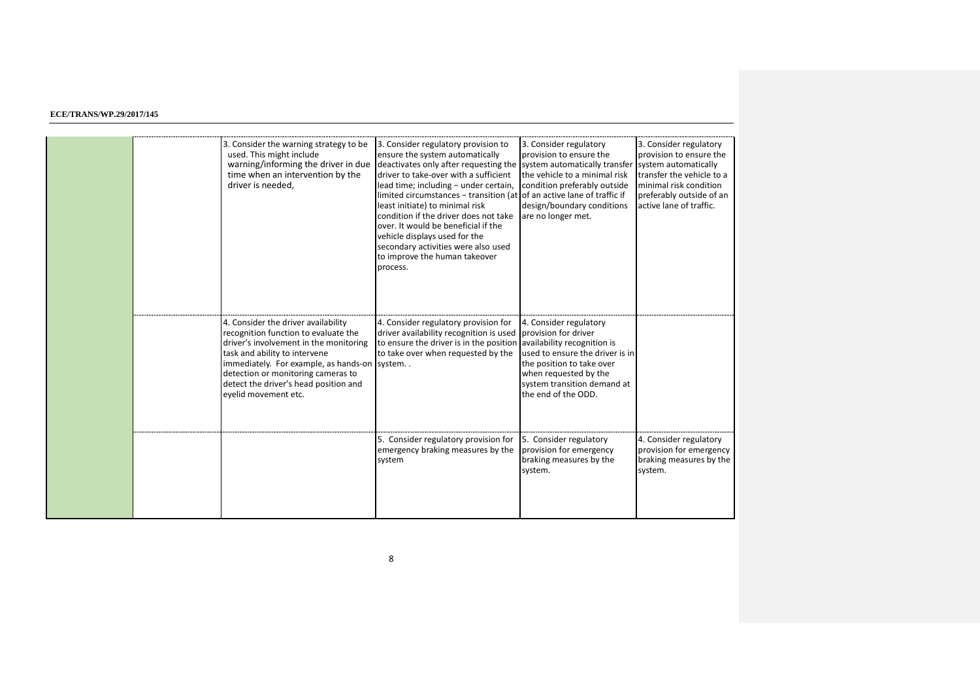|  | 3. Consider the warning strategy to be<br>used. This might include<br>warning/informing the driver in due<br>time when an intervention by the<br>driver is needed.                                                                                                                                            | 3. Consider regulatory provision to<br>ensure the system automatically<br>deactivates only after requesting the system automatically transfer<br>driver to take-over with a sufficient<br>lead time; including - under certain,<br>limited circumstances - transition (at of an active lane of traffic if<br>least initiate) to minimal risk<br>condition if the driver does not take<br>over. It would be beneficial if the<br>vehicle displays used for the<br>secondary activities were also used<br>to improve the human takeover<br>process. | 3. Consider regulatory<br>provision to ensure the<br>the vehicle to a minimal risk<br>condition preferably outside<br>design/boundary conditions<br>are no longer met. | 3. Consider regulatory<br>provision to ensure the<br>system automatically<br>transfer the vehicle to a<br>minimal risk condition<br>preferably outside of an<br>active lane of traffic. |
|--|---------------------------------------------------------------------------------------------------------------------------------------------------------------------------------------------------------------------------------------------------------------------------------------------------------------|---------------------------------------------------------------------------------------------------------------------------------------------------------------------------------------------------------------------------------------------------------------------------------------------------------------------------------------------------------------------------------------------------------------------------------------------------------------------------------------------------------------------------------------------------|------------------------------------------------------------------------------------------------------------------------------------------------------------------------|-----------------------------------------------------------------------------------------------------------------------------------------------------------------------------------------|
|  | 4. Consider the driver availability<br>recognition function to evaluate the<br>driver's involvement in the monitoring<br>task and ability to intervene<br>immediately. For example, as hands-on system<br>detection or monitoring cameras to<br>detect the driver's head position and<br>eyelid movement etc. | 4. Consider regulatory provision for<br>driver availability recognition is used provision for driver<br>to ensure the driver is in the position availability recognition is<br>to take over when requested by the                                                                                                                                                                                                                                                                                                                                 | 4. Consider regulatory<br>used to ensure the driver is in<br>the position to take over<br>when requested by the<br>system transition demand at<br>the end of the ODD.  |                                                                                                                                                                                         |
|  |                                                                                                                                                                                                                                                                                                               | 5. Consider regulatory provision for<br>emergency braking measures by the<br>system                                                                                                                                                                                                                                                                                                                                                                                                                                                               | 5. Consider regulatory<br>provision for emergency<br>braking measures by the<br>system.                                                                                | 4. Consider regulatory<br>provision for emergency<br>braking measures by the<br>system.                                                                                                 |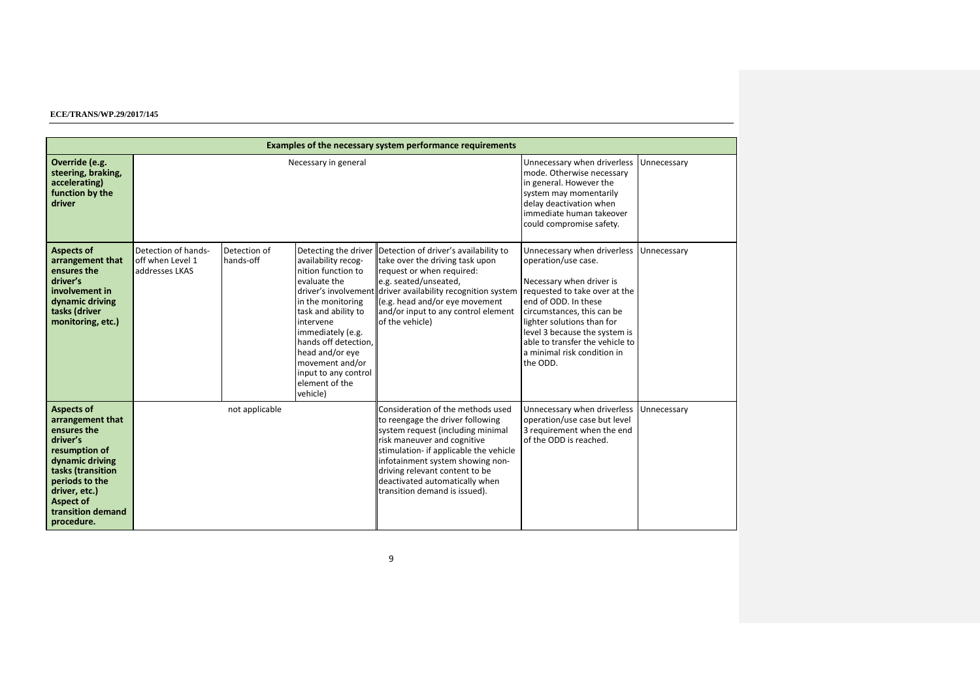|                                                                                                                                                                                                                     | Examples of the necessary system performance requirements |                           |                                                                                                                                                                                                                                                                                     |                                                                                                                                                                                                                                                                                                                              |                                                                                                                                                                                                                                                                                                                    |             |  |  |  |
|---------------------------------------------------------------------------------------------------------------------------------------------------------------------------------------------------------------------|-----------------------------------------------------------|---------------------------|-------------------------------------------------------------------------------------------------------------------------------------------------------------------------------------------------------------------------------------------------------------------------------------|------------------------------------------------------------------------------------------------------------------------------------------------------------------------------------------------------------------------------------------------------------------------------------------------------------------------------|--------------------------------------------------------------------------------------------------------------------------------------------------------------------------------------------------------------------------------------------------------------------------------------------------------------------|-------------|--|--|--|
| Override (e.g.<br>steering, braking,<br>accelerating)<br>function by the<br>driver                                                                                                                                  |                                                           | Necessary in general      | Unnecessary when driverless<br>mode. Otherwise necessary<br>in general. However the<br>system may momentarily<br>delay deactivation when<br>immediate human takeover<br>could compromise safety.                                                                                    | Unnecessary                                                                                                                                                                                                                                                                                                                  |                                                                                                                                                                                                                                                                                                                    |             |  |  |  |
| <b>Aspects of</b><br>arrangement that<br>ensures the<br>driver's<br>involvement in<br>dynamic driving<br>tasks (driver<br>monitoring, etc.)                                                                         | Detection of hands-<br>off when Level 1<br>addresses LKAS | Detection of<br>hands-off | Detecting the driver<br>availability recog-<br>nition function to<br>evaluate the<br>in the monitoring<br>task and ability to<br>intervene<br>immediately (e.g.<br>hands off detection,<br>head and/or eye<br>movement and/or<br>input to any control<br>element of the<br>vehicle) | Detection of driver's availability to<br>take over the driving task upon<br>request or when required:<br>e.g. seated/unseated,<br>driver's involvement driver availability recognition system<br>(e.g. head and/or eye movement<br>and/or input to any control element<br>of the vehicle)                                    | Unnecessary when driverless<br>operation/use case.<br>Necessary when driver is<br>requested to take over at the<br>end of ODD. In these<br>circumstances, this can be<br>lighter solutions than for<br>level 3 because the system is<br>able to transfer the vehicle to<br>a minimal risk condition in<br>the ODD. | Unnecessary |  |  |  |
| <b>Aspects of</b><br>arrangement that<br>ensures the<br>driver's<br>resumption of<br>dynamic driving<br>tasks (transition<br>periods to the<br>driver, etc.)<br><b>Aspect of</b><br>transition demand<br>procedure. |                                                           | not applicable            |                                                                                                                                                                                                                                                                                     | Consideration of the methods used<br>to reengage the driver following<br>system request (including minimal<br>risk maneuver and cognitive<br>stimulation- if applicable the vehicle<br>infotainment system showing non-<br>driving relevant content to be<br>deactivated automatically when<br>transition demand is issued). | Unnecessary when driverless<br>operation/use case but level<br>3 requirement when the end<br>of the ODD is reached.                                                                                                                                                                                                | Unnecessary |  |  |  |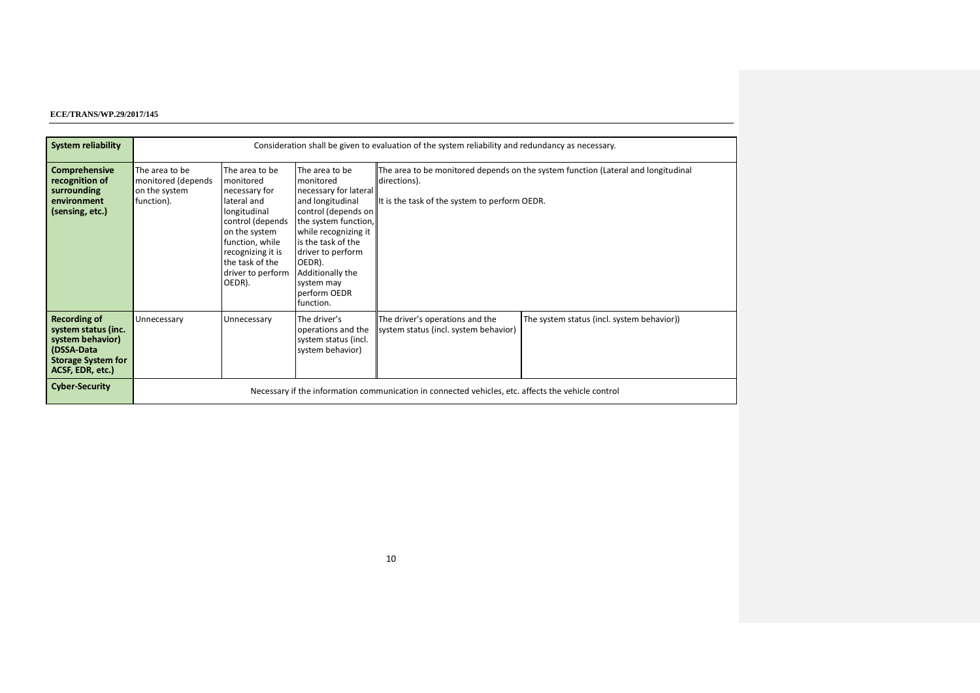| <b>System reliability</b>                                                                                                     |                                                                     | Consideration shall be given to evaluation of the system reliability and redundancy as necessary.                                                                                                          |                                                                                                                                                                                                                                                                     |                                                                                                                                                    |                                            |  |  |
|-------------------------------------------------------------------------------------------------------------------------------|---------------------------------------------------------------------|------------------------------------------------------------------------------------------------------------------------------------------------------------------------------------------------------------|---------------------------------------------------------------------------------------------------------------------------------------------------------------------------------------------------------------------------------------------------------------------|----------------------------------------------------------------------------------------------------------------------------------------------------|--------------------------------------------|--|--|
|                                                                                                                               |                                                                     |                                                                                                                                                                                                            |                                                                                                                                                                                                                                                                     |                                                                                                                                                    |                                            |  |  |
| <b>Comprehensive</b><br>recognition of<br>surrounding<br>environment<br>(sensing, etc.)                                       | The area to be<br>monitored (depends<br>on the system<br>function). | The area to be<br>monitored<br>necessary for<br>lateral and<br>longitudinal<br>control (depends<br>on the system<br>function, while<br>recognizing it is<br>the task of the<br>driver to perform<br>OEDR). | The area to be<br>monitored<br>necessary for lateral<br>and longitudinal<br>control (depends on<br>the system function,<br>while recognizing it<br>is the task of the<br>driver to perform<br>OEDR).<br>Additionally the<br>system may<br>perform OEDR<br>function. | The area to be monitored depends on the system function (Lateral and longitudinal<br>directions).<br>It is the task of the system to perform OEDR. |                                            |  |  |
| <b>Recording of</b><br>system status (inc.<br>system behavior)<br>(DSSA-Data<br><b>Storage System for</b><br>ACSF, EDR, etc.) | Unnecessary                                                         | Unnecessary                                                                                                                                                                                                | The driver's<br>operations and the<br>system status (incl.<br>system behavior)                                                                                                                                                                                      | The driver's operations and the<br>system status (incl. system behavior)                                                                           | The system status (incl. system behavior)) |  |  |
| <b>Cyber-Security</b>                                                                                                         |                                                                     |                                                                                                                                                                                                            |                                                                                                                                                                                                                                                                     | Necessary if the information communication in connected vehicles, etc. affects the vehicle control                                                 |                                            |  |  |